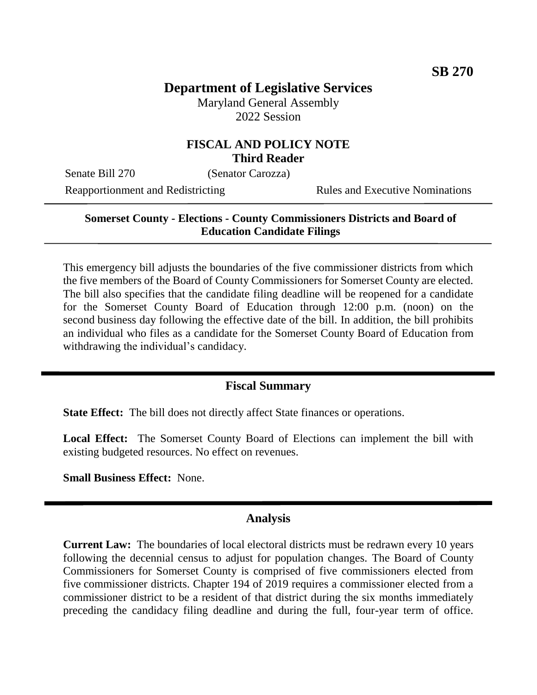# **Department of Legislative Services**

Maryland General Assembly 2022 Session

## **FISCAL AND POLICY NOTE Third Reader**

Senate Bill 270 (Senator Carozza)

Reapportionment and Redistricting Rules and Executive Nominations

## **Somerset County - Elections - County Commissioners Districts and Board of Education Candidate Filings**

This emergency bill adjusts the boundaries of the five commissioner districts from which the five members of the Board of County Commissioners for Somerset County are elected. The bill also specifies that the candidate filing deadline will be reopened for a candidate for the Somerset County Board of Education through 12:00 p.m. (noon) on the second business day following the effective date of the bill. In addition, the bill prohibits an individual who files as a candidate for the Somerset County Board of Education from withdrawing the individual's candidacy.

### **Fiscal Summary**

**State Effect:** The bill does not directly affect State finances or operations.

**Local Effect:** The Somerset County Board of Elections can implement the bill with existing budgeted resources. No effect on revenues.

**Small Business Effect:** None.

#### **Analysis**

**Current Law:** The boundaries of local electoral districts must be redrawn every 10 years following the decennial census to adjust for population changes. The Board of County Commissioners for Somerset County is comprised of five commissioners elected from five commissioner districts. Chapter 194 of 2019 requires a commissioner elected from a commissioner district to be a resident of that district during the six months immediately preceding the candidacy filing deadline and during the full, four-year term of office.